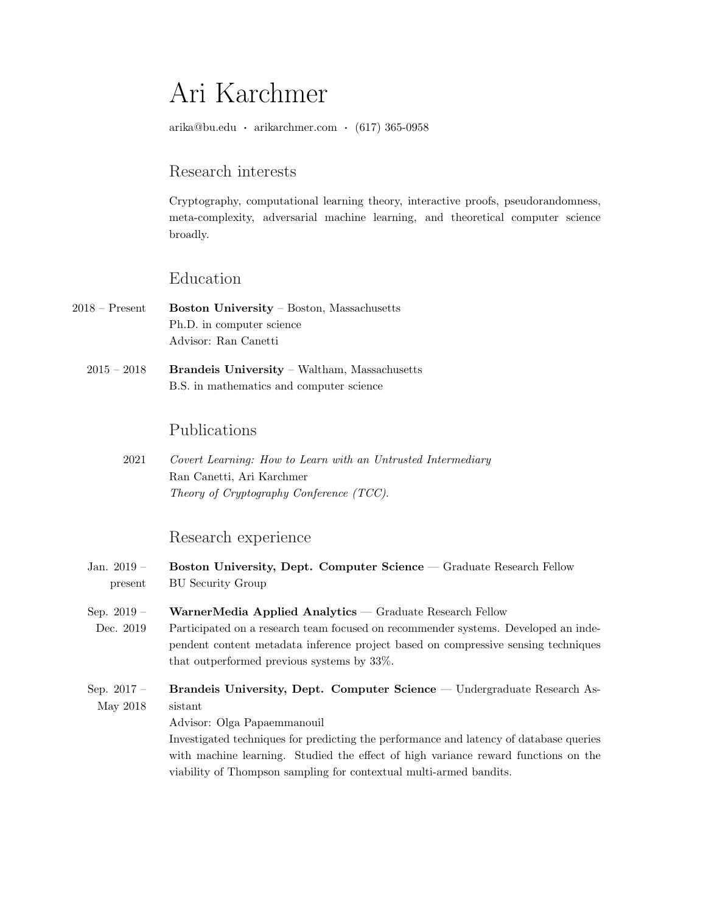# Ari Karchmer

arika@bu.edu · arikarchmer.com · (617) 365-0958

## Research interests

Cryptography, computational learning theory, interactive proofs, pseudorandomness, meta-complexity, adversarial machine learning, and theoretical computer science broadly.

# Education

- 2018 Present Boston University Boston, Massachusetts Ph.D. in computer science Advisor: Ran Canetti
	- 2015 2018 Brandeis University Waltham, Massachusetts B.S. in mathematics and computer science

# Publications

2021 Covert Learning: How to Learn with an Untrusted Intermediary Ran Canetti, Ari Karchmer Theory of Cryptography Conference (TCC).

### Research experience

- Jan. 2019 present Boston University, Dept. Computer Science — Graduate Research Fellow BU Security Group
- Sep. 2019 WarnerMedia Applied Analytics — Graduate Research Fellow
- Dec. 2019 Participated on a research team focused on recommender systems. Developed an independent content metadata inference project based on compressive sensing techniques that outperformed previous systems by 33%.
- Sep. 2017 May 2018 Brandeis University, Dept. Computer Science — Undergraduate Research Assistant

Advisor: Olga Papaemmanouil

Investigated techniques for predicting the performance and latency of database queries with machine learning. Studied the effect of high variance reward functions on the viability of Thompson sampling for contextual multi-armed bandits.